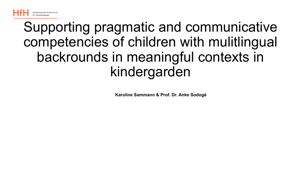

### Supporting pragmatic and communicative competencies of children with mulitlingual backrounds in meaningful contexts in kindergarden

**Karoline Sammann & Prof. Dr. Anke Sodogé**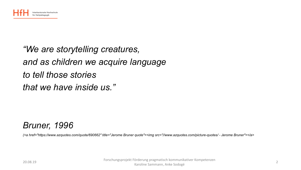

#### *"We are storytelling creatures, and as children we acquire language to tell those stories that we have inside us."*

#### *Bruner, 1996*

*(<a href="https://www.azquotes.com/quote/690662" title="Jerome Bruner quote"><img src="//www.azquotes.com/picture-quotes/ - Jerome Bruner"></a>*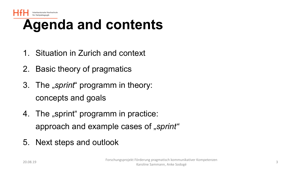

# **Agenda and contents**

- 1. Situation in Zurich and context
- 2. Basic theory of pragmatics
- 3. The "*sprint*" programm in theory: concepts and goals
- 4. The "sprint" programm in practice: approach and example cases of "*sprint*"
- 5. Next steps and outlook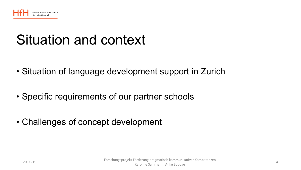

# Situation and context

- Situation of language development support in Zurich
- Specific requirements of our partner schools
- Challenges of concept development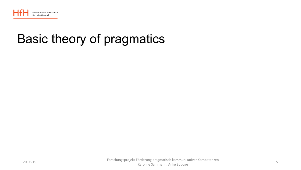

### Basic theory of pragmatics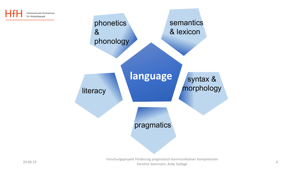

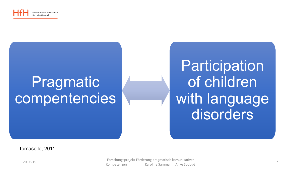

# Pragmatic compentencies

**Participation** of children with language disorders

Tomasello, 2011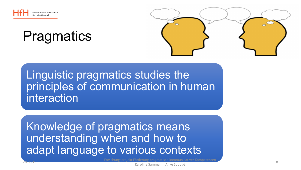

## **Pragmatics**



#### Linguistic pragmatics studies the principles of communication in human interaction

Knowledge of pragmatics means understanding when and how to adapt language to various contexts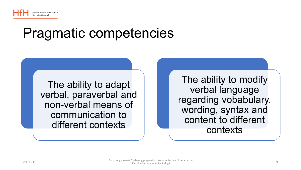

## Pragmatic competencies

The ability to adapt verbal, paraverbal and non-verbal means of communication to different contexts

The ability to modify verbal language regarding vobabulary, wording, syntax and content to different contexts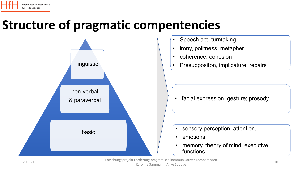#### **Structure of pragmatic compentencies**



20.08.19 Forschungsprojekt Förderung pragmatisch kommunikativer Kompetenzen Karoline Sammann, Anke Sodogé 10. march 10. march 10. march 10. march 10. march 10. march 10. march 10. march 10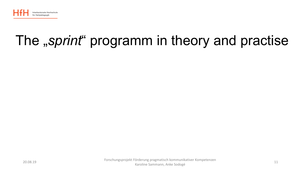

# The "sprint" programm in theory and practise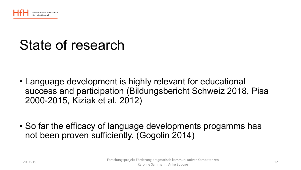

# State of research

- Language development is highly relevant for educational success and participation (Bildungsbericht Schweiz 2018, Pisa 2000-2015, Kiziak et al. 2012)
- So far the efficacy of language developments progamms has not been proven sufficiently. (Gogolin 2014)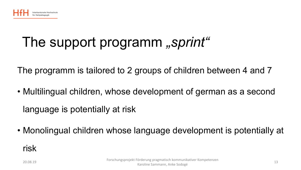

# The support programm "sprint"

The programm is tailored to 2 groups of children between 4 and 7

• Multilingual children, whose development of german as a second language is potentially at risk

• Monolingual children whose language development is potentially at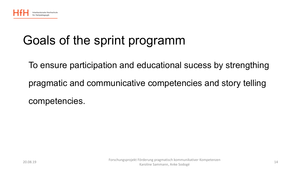

### Goals of the sprint programm

To ensure participation and educational sucess by strengthing pragmatic and communicative competencies and story telling competencies.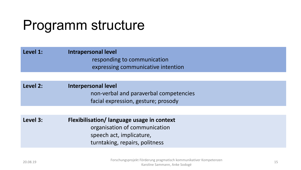# Programm structure

#### **Level 1: Intrapersonal level** responding to communication expressing communicative intention

#### **Level 2: Interpersonal level** non-verbal and paraverbal competencies facial expression, gesture; prosody

**Level 3: Flexibilisation/ language usage in context** organisation of communication speech act, implicature, turntaking, repairs, politness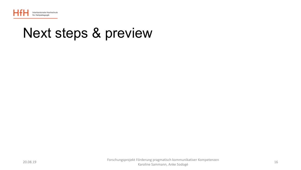

### Next steps & preview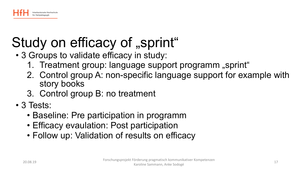

# Study on efficacy of "sprint"

- 3 Groups to validate efficacy in study:
	- 1. Treatment group: language support programm "sprint"
	- 2. Control group A: non-specific language support for example with story books
	- 3. Control group B: no treatment
- 3 Tests:
	- Baseline: Pre participation in programm
	- Efficacy evaulation: Post participation
	- Follow up: Validation of results on efficacy